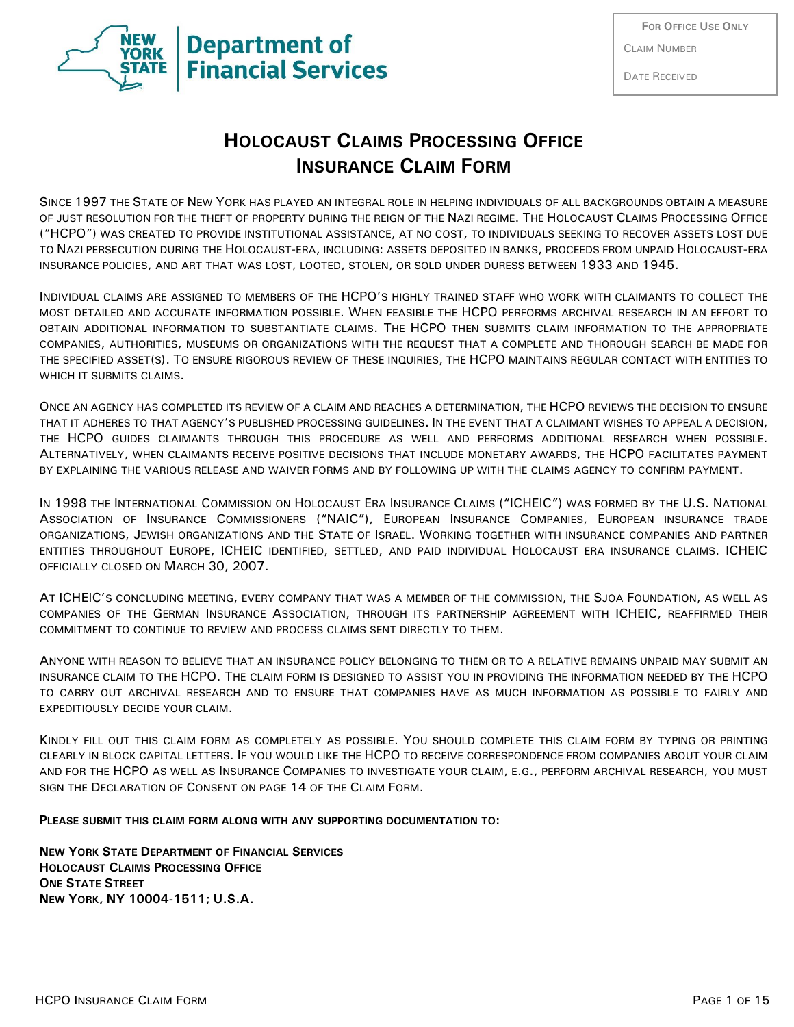

DATE RECEIVED

# **HOLOCAUST CLAIMS PROCESSING OFFICE INSURANCE CLAIM FORM**

SINCE 1997 THE STATE OF NEW YORK HAS PLAYED AN INTEGRAL ROLE IN HELPING INDIVIDUALS OF ALL BACKGROUNDS OBTAIN A MEASURE OF JUST RESOLUTION FOR THE THEFT OF PROPERTY DURING THE REIGN OF THE NAZI REGIME. THE HOLOCAUST CLAIMS PROCESSING OFFICE ("HCPO") WAS CREATED TO PROVIDE INSTITUTIONAL ASSISTANCE, AT NO COST, TO INDIVIDUALS SEEKING TO RECOVER ASSETS LOST DUE TO NAZI PERSECUTION DURING THE HOLOCAUST-ERA, INCLUDING: ASSETS DEPOSITED IN BANKS, PROCEEDS FROM UNPAID HOLOCAUST-ERA INSURANCE POLICIES, AND ART THAT WAS LOST, LOOTED, STOLEN, OR SOLD UNDER DURESS BETWEEN 1933 AND 1945.

INDIVIDUAL CLAIMS ARE ASSIGNED TO MEMBERS OF THE HCPO'S HIGHLY TRAINED STAFF WHO WORK WITH CLAIMANTS TO COLLECT THE MOST DETAILED AND ACCURATE INFORMATION POSSIBLE. WHEN FEASIBLE THE HCPO PERFORMS ARCHIVAL RESEARCH IN AN EFFORT TO OBTAIN ADDITIONAL INFORMATION TO SUBSTANTIATE CLAIMS. THE HCPO THEN SUBMITS CLAIM INFORMATION TO THE APPROPRIATE COMPANIES, AUTHORITIES, MUSEUMS OR ORGANIZATIONS WITH THE REQUEST THAT A COMPLETE AND THOROUGH SEARCH BE MADE FOR THE SPECIFIED ASSET(S). TO ENSURE RIGOROUS REVIEW OF THESE INQUIRIES, THE HCPO MAINTAINS REGULAR CONTACT WITH ENTITIES TO WHICH IT SUBMITS CLAIMS.

ONCE AN AGENCY HAS COMPLETED ITS REVIEW OF A CLAIM AND REACHES A DETERMINATION, THE HCPO REVIEWS THE DECISION TO ENSURE THAT IT ADHERES TO THAT AGENCY'S PUBLISHED PROCESSING GUIDELINES. IN THE EVENT THAT A CLAIMANT WISHES TO APPEAL A DECISION, THE HCPO GUIDES CLAIMANTS THROUGH THIS PROCEDURE AS WELL AND PERFORMS ADDITIONAL RESEARCH WHEN POSSIBLE. ALTERNATIVELY, WHEN CLAIMANTS RECEIVE POSITIVE DECISIONS THAT INCLUDE MONETARY AWARDS, THE HCPO FACILITATES PAYMENT BY EXPLAINING THE VARIOUS RELEASE AND WAIVER FORMS AND BY FOLLOWING UP WITH THE CLAIMS AGENCY TO CONFIRM PAYMENT.

IN 1998 THE INTERNATIONAL COMMISSION ON HOLOCAUST ERA INSURANCE CLAIMS ("ICHEIC") WAS FORMED BY THE U.S. NATIONAL ASSOCIATION OF INSURANCE COMMISSIONERS ("NAIC"), EUROPEAN INSURANCE COMPANIES, EUROPEAN INSURANCE TRADE ORGANIZATIONS, JEWISH ORGANIZATIONS AND THE STATE OF ISRAEL. WORKING TOGETHER WITH INSURANCE COMPANIES AND PARTNER ENTITIES THROUGHOUT EUROPE, ICHEIC IDENTIFIED, SETTLED, AND PAID INDIVIDUAL HOLOCAUST ERA INSURANCE CLAIMS. ICHEIC OFFICIALLY CLOSED ON MARCH 30, 2007.

AT ICHEIC'S CONCLUDING MEETING, EVERY COMPANY THAT WAS A MEMBER OF THE COMMISSION, THE SJOA FOUNDATION, AS WELL AS COMPANIES OF THE GERMAN INSURANCE ASSOCIATION, THROUGH ITS PARTNERSHIP AGREEMENT WITH ICHEIC, REAFFIRMED THEIR COMMITMENT TO CONTINUE TO REVIEW AND PROCESS CLAIMS SENT DIRECTLY TO THEM.

ANYONE WITH REASON TO BELIEVE THAT AN INSURANCE POLICY BELONGING TO THEM OR TO A RELATIVE REMAINS UNPAID MAY SUBMIT AN INSURANCE CLAIM TO THE HCPO. THE CLAIM FORM IS DESIGNED TO ASSIST YOU IN PROVIDING THE INFORMATION NEEDED BY THE HCPO TO CARRY OUT ARCHIVAL RESEARCH AND TO ENSURE THAT COMPANIES HAVE AS MUCH INFORMATION AS POSSIBLE TO FAIRLY AND EXPEDITIOUSLY DECIDE YOUR CLAIM.

KINDLY FILL OUT THIS CLAIM FORM AS COMPLETELY AS POSSIBLE. YOU SHOULD COMPLETE THIS CLAIM FORM BY TYPING OR PRINTING CLEARLY IN BLOCK CAPITAL LETTERS. IF YOU WOULD LIKE THE HCPO TO RECEIVE CORRESPONDENCE FROM COMPANIES ABOUT YOUR CLAIM AND FOR THE HCPO AS WELL AS INSURANCE COMPANIES TO INVESTIGATE YOUR CLAIM, E.G., PERFORM ARCHIVAL RESEARCH, YOU MUST SIGN THE DECLARATION OF CONSENT ON PAGE 14 OF THE CLAIM FORM.

**PLEASE SUBMIT THIS CLAIM FORM ALONG WITH ANY SUPPORTING DOCUMENTATION TO:**

**NEW YORK STATE DEPARTMENT OF FINANCIAL SERVICES HOLOCAUST CLAIMS PROCESSING OFFICE ONE STATE STREET NEW YORK, NY 10004-1511; U.S.A.**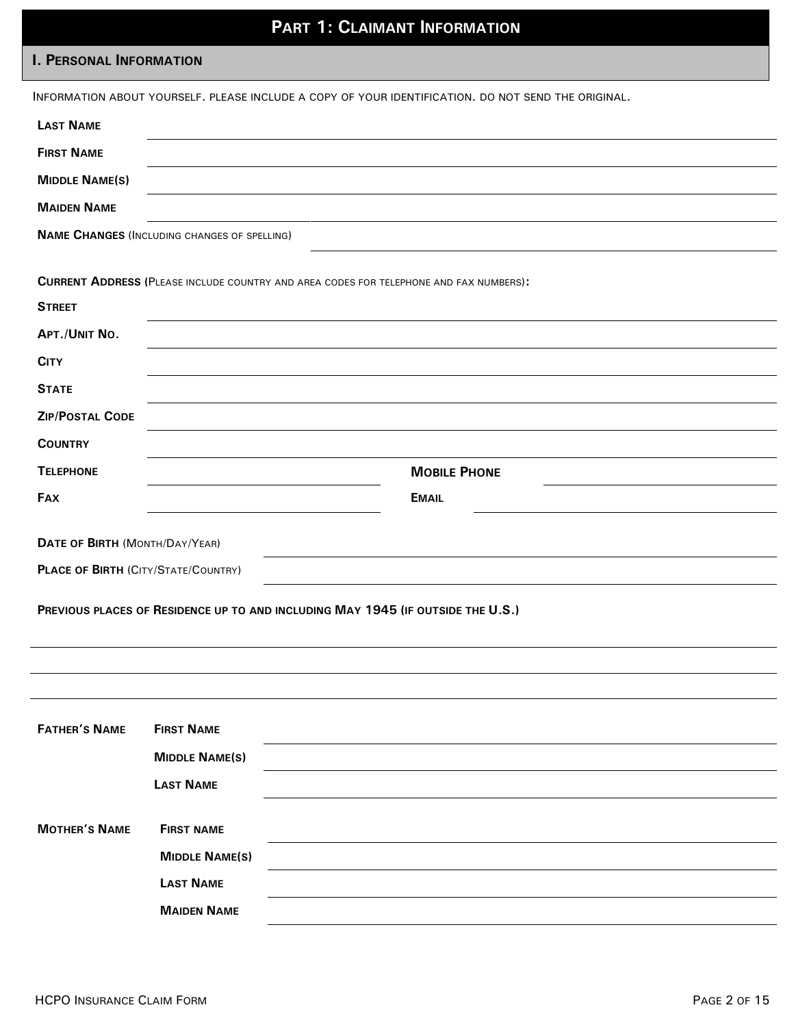# **PART 1: CLAIMANT INFORMATION**

### **I. PERSONAL INFORMATION**

|                                            |                                                     | INFORMATION ABOUT YOURSELF. PLEASE INCLUDE A COPY OF YOUR IDENTIFICATION. DO NOT SEND THE ORIGINAL. |
|--------------------------------------------|-----------------------------------------------------|-----------------------------------------------------------------------------------------------------|
| <b>LAST NAME</b>                           |                                                     |                                                                                                     |
| <b>FIRST NAME</b>                          |                                                     |                                                                                                     |
| <b>MIDDLE NAME(S)</b>                      |                                                     |                                                                                                     |
| <b>MAIDEN NAME</b>                         |                                                     |                                                                                                     |
|                                            | <b>NAME CHANGES (INCLUDING CHANGES OF SPELLING)</b> |                                                                                                     |
|                                            |                                                     | <b>CURRENT ADDRESS (PLEASE INCLUDE COUNTRY AND AREA CODES FOR TELEPHONE AND FAX NUMBERS):</b>       |
| <b>STREET</b>                              |                                                     |                                                                                                     |
| APT./UNIT NO.                              |                                                     |                                                                                                     |
| <b>CITY</b>                                |                                                     |                                                                                                     |
| <b>STATE</b>                               |                                                     |                                                                                                     |
| <b>ZIP/POSTAL CODE</b>                     |                                                     |                                                                                                     |
| <b>COUNTRY</b>                             |                                                     |                                                                                                     |
| <b>TELEPHONE</b>                           |                                                     | <b>MOBILE PHONE</b>                                                                                 |
| <b>FAX</b>                                 |                                                     | <b>EMAIL</b>                                                                                        |
|                                            |                                                     |                                                                                                     |
| DATE OF BIRTH (MONTH/DAY/YEAR)             |                                                     |                                                                                                     |
| <b>PLACE OF BIRTH (CITY/STATE/COUNTRY)</b> |                                                     |                                                                                                     |
|                                            |                                                     | PREVIOUS PLACES OF RESIDENCE UP TO AND INCLUDING MAY 1945 (IF OUTSIDE THE U.S.)                     |
|                                            |                                                     |                                                                                                     |
|                                            |                                                     |                                                                                                     |
|                                            |                                                     |                                                                                                     |
|                                            |                                                     |                                                                                                     |
| <b>FATHER'S NAME</b>                       | <b>FIRST NAME</b>                                   |                                                                                                     |
|                                            | <b>MIDDLE NAME(S)</b>                               |                                                                                                     |
|                                            | <b>LAST NAME</b>                                    |                                                                                                     |
| <b>MOTHER'S NAME</b>                       | <b>FIRST NAME</b>                                   |                                                                                                     |
|                                            | <b>MIDDLE NAME(S)</b>                               |                                                                                                     |
|                                            | <b>LAST NAME</b>                                    |                                                                                                     |
|                                            | <b>MAIDEN NAME</b>                                  |                                                                                                     |
|                                            |                                                     |                                                                                                     |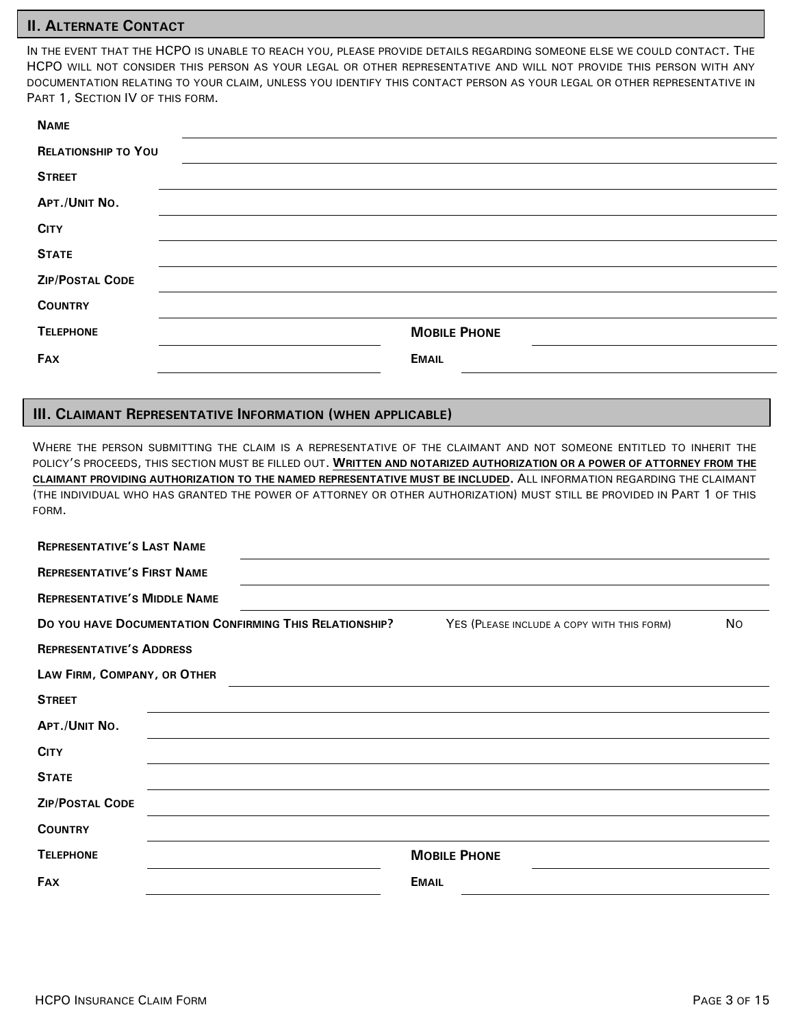### **II. ALTERNATE CONTACT**

IN THE EVENT THAT THE HCPO IS UNABLE TO REACH YOU, PLEASE PROVIDE DETAILS REGARDING SOMEONE ELSE WE COULD CONTACT. THE HCPO WILL NOT CONSIDER THIS PERSON AS YOUR LEGAL OR OTHER REPRESENTATIVE AND WILL NOT PROVIDE THIS PERSON WITH ANY DOCUMENTATION RELATING TO YOUR CLAIM, UNLESS YOU IDENTIFY THIS CONTACT PERSON AS YOUR LEGAL OR OTHER REPRESENTATIVE IN PART 1, SECTION IV OF THIS FORM.

| <b>NAME</b>                |                     |
|----------------------------|---------------------|
| <b>RELATIONSHIP TO YOU</b> |                     |
| <b>STREET</b>              |                     |
| APT./UNIT NO.              |                     |
| <b>CITY</b>                |                     |
| <b>STATE</b>               |                     |
| <b>ZIP/POSTAL CODE</b>     |                     |
| <b>COUNTRY</b>             |                     |
| <b>TELEPHONE</b>           | <b>MOBILE PHONE</b> |
| <b>FAX</b>                 | <b>EMAIL</b>        |

### **III. CLAIMANT REPRESENTATIVE INFORMATION (WHEN APPLICABLE)**

WHERE THE PERSON SUBMITTING THE CLAIM IS A REPRESENTATIVE OF THE CLAIMANT AND NOT SOMEONE ENTITLED TO INHERIT THE POLICY'S PROCEEDS, THIS SECTION MUST BE FILLED OUT. **WRITTEN AND NOTARIZED AUTHORIZATION OR A POWER OF ATTORNEY FROM THE CLAIMANT PROVIDING AUTHORIZATION TO THE NAMED REPRESENTATIVE MUST BE INCLUDED.** ALL INFORMATION REGARDING THE CLAIMANT (THE INDIVIDUAL WHO HAS GRANTED THE POWER OF ATTORNEY OR OTHER AUTHORIZATION) MUST STILL BE PROVIDED IN PART 1 OF THIS FORM.

| <b>REPRESENTATIVE'S LAST NAME</b>                                                                                  |  |                     |  |
|--------------------------------------------------------------------------------------------------------------------|--|---------------------|--|
| <b>REPRESENTATIVE'S FIRST NAME</b>                                                                                 |  |                     |  |
| <b>REPRESENTATIVE'S MIDDLE NAME</b>                                                                                |  |                     |  |
| DO YOU HAVE DOCUMENTATION CONFIRMING THIS RELATIONSHIP?<br>YES (PLEASE INCLUDE A COPY WITH THIS FORM)<br><b>No</b> |  |                     |  |
| <b>REPRESENTATIVE'S ADDRESS</b>                                                                                    |  |                     |  |
| LAW FIRM, COMPANY, OR OTHER                                                                                        |  |                     |  |
| <b>STREET</b>                                                                                                      |  |                     |  |
| APT./UNIT NO.                                                                                                      |  |                     |  |
| <b>CITY</b>                                                                                                        |  |                     |  |
| <b>STATE</b>                                                                                                       |  |                     |  |
| <b>ZIP/POSTAL CODE</b>                                                                                             |  |                     |  |
| <b>COUNTRY</b>                                                                                                     |  |                     |  |
| <b>TELEPHONE</b>                                                                                                   |  | <b>MOBILE PHONE</b> |  |
| <b>FAX</b>                                                                                                         |  | <b>EMAIL</b>        |  |
|                                                                                                                    |  |                     |  |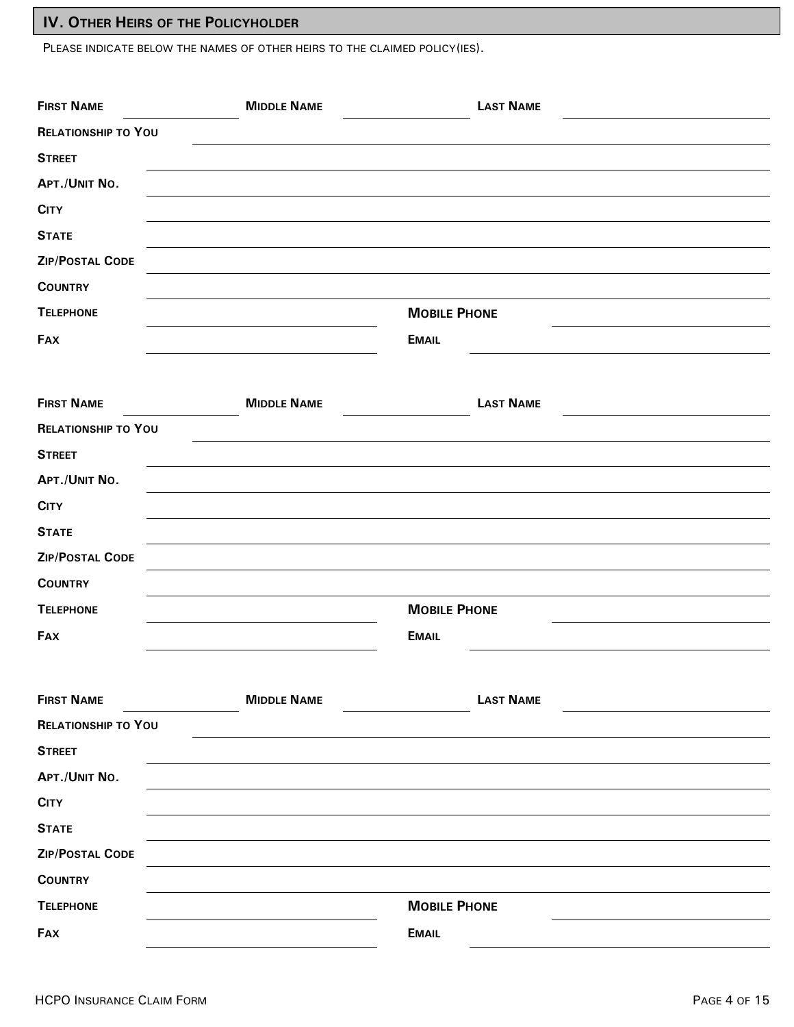## **IV. OTHER HEIRS OF THE POLICYHOLDER**

PLEASE INDICATE BELOW THE NAMES OF OTHER HEIRS TO THE CLAIMED POLICY(IES).

| <b>FIRST NAME</b>          | <b>MIDDLE NAME</b> | <b>LAST NAME</b>    |
|----------------------------|--------------------|---------------------|
| <b>RELATIONSHIP TO YOU</b> |                    |                     |
| <b>STREET</b>              |                    |                     |
| APT./UNIT NO.              |                    |                     |
| <b>CITY</b>                |                    |                     |
| <b>STATE</b>               |                    |                     |
| <b>ZIP/POSTAL CODE</b>     |                    |                     |
| <b>COUNTRY</b>             |                    |                     |
| <b>TELEPHONE</b>           |                    | <b>MOBILE PHONE</b> |
| FAX                        |                    | <b>EMAIL</b>        |
|                            |                    |                     |
| <b>FIRST NAME</b>          | <b>MIDDLE NAME</b> | <b>LAST NAME</b>    |
| <b>RELATIONSHIP TO YOU</b> |                    |                     |
| <b>STREET</b>              |                    |                     |
| APT./UNIT NO.              |                    |                     |
| <b>CITY</b>                |                    |                     |
| <b>STATE</b>               |                    |                     |
| <b>ZIP/POSTAL CODE</b>     |                    |                     |
| <b>COUNTRY</b>             |                    |                     |
| <b>TELEPHONE</b>           |                    | <b>MOBILE PHONE</b> |
| <b>FAX</b>                 |                    | <b>EMAIL</b>        |
|                            |                    |                     |
| <b>FIRST NAME</b>          | <b>MIDDLE NAME</b> | <b>LAST NAME</b>    |
| <b>RELATIONSHIP TO YOU</b> |                    |                     |
| <b>STREET</b>              |                    |                     |
| APT./UNIT NO.              |                    |                     |
| <b>CITY</b>                |                    |                     |
| <b>STATE</b>               |                    |                     |
| ZIP/POSTAL CODE            |                    |                     |
| <b>COUNTRY</b>             |                    |                     |
| <b>TELEPHONE</b>           |                    | <b>MOBILE PHONE</b> |
| <b>FAX</b>                 |                    | <b>EMAIL</b>        |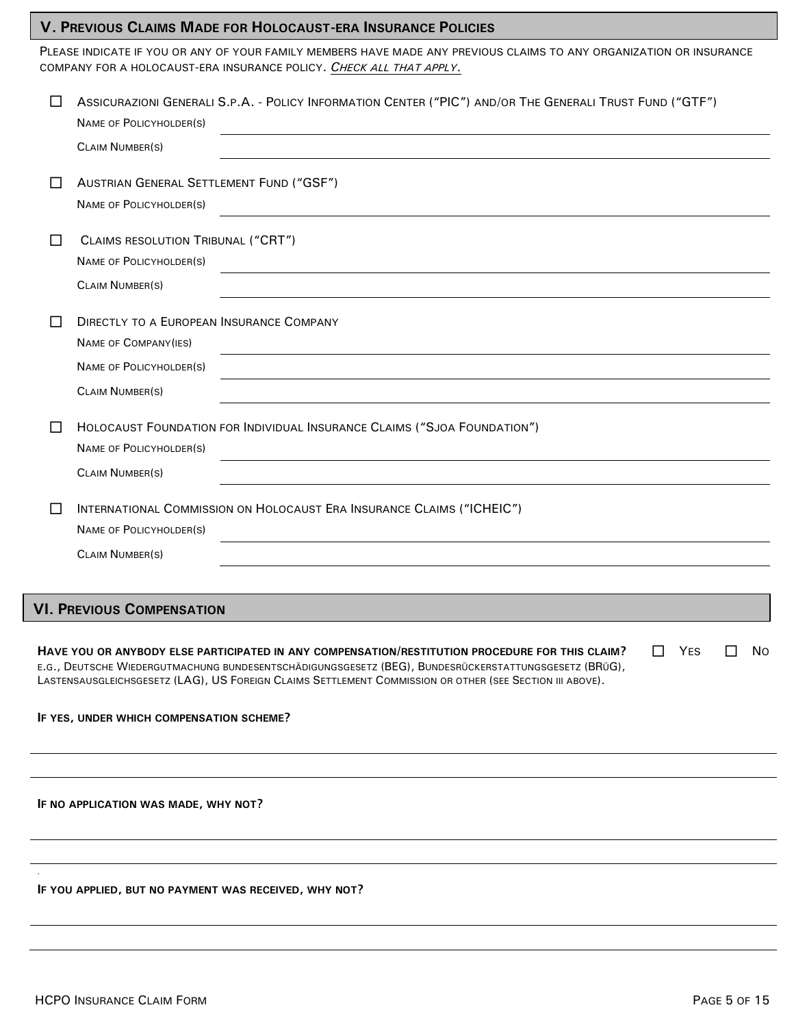### **V. PREVIOUS CLAIMS MADE FOR HOLOCAUST-ERA INSURANCE POLICIES**

PLEASE INDICATE IF YOU OR ANY OF YOUR FAMILY MEMBERS HAVE MADE ANY PREVIOUS CLAIMS TO ANY ORGANIZATION OR INSURANCE COMPANY FOR A HOLOCAUST-ERA INSURANCE POLICY. *CHECK ALL THAT APPLY*.

|     | ASSICURAZIONI GENERALI S.P.A. - POLICY INFORMATION CENTER ("PIC") AND/OR THE GENERALI TRUST FUND ("GTF")<br><b>NAME OF POLICYHOLDER(S)</b><br><b>CLAIM NUMBER(S)</b>                                                                                                                                                                                 |
|-----|------------------------------------------------------------------------------------------------------------------------------------------------------------------------------------------------------------------------------------------------------------------------------------------------------------------------------------------------------|
|     | AUSTRIAN GENERAL SETTLEMENT FUND ("GSF")<br><b>NAME OF POLICYHOLDER(S)</b>                                                                                                                                                                                                                                                                           |
| ΙI  | CLAIMS RESOLUTION TRIBUNAL ("CRT")<br><b>NAME OF POLICYHOLDER(S)</b><br><b>CLAIM NUMBER(S)</b>                                                                                                                                                                                                                                                       |
|     | <b>DIRECTLY TO A EUROPEAN INSURANCE COMPANY</b><br>NAME OF COMPANY(IES)<br>NAME OF POLICYHOLDER(S)<br><b>CLAIM NUMBER(S)</b>                                                                                                                                                                                                                         |
| ΙI  | HOLOCAUST FOUNDATION FOR INDIVIDUAL INSURANCE CLAIMS ("SJOA FOUNDATION")<br>NAME OF POLICYHOLDER(S)<br><b>CLAIM NUMBER(S)</b>                                                                                                                                                                                                                        |
| l I | INTERNATIONAL COMMISSION ON HOLOCAUST ERA INSURANCE CLAIMS ("ICHEIC")<br>NAME OF POLICYHOLDER(S)<br><b>CLAIM NUMBER(S)</b>                                                                                                                                                                                                                           |
|     | <b>VI. PREVIOUS COMPENSATION</b>                                                                                                                                                                                                                                                                                                                     |
|     | <b>YES</b><br>HAVE YOU OR ANYBODY ELSE PARTICIPATED IN ANY COMPENSATION/RESTITUTION PROCEDURE FOR THIS CLAIM?<br>ΙI<br>N0<br>ΙI<br>E.G., DEUTSCHE WIEDERGUTMACHUNG BUNDESENTSCHÄDIGUNGSGESETZ (BEG), BUNDESRÜCKERSTATTUNGSGESETZ (BRÜG),<br>LASTENSAUSGLEICHSGESETZ (LAG), US FOREIGN CLAIMS SETTLEMENT COMMISSION OR OTHER (SEE SECTION III ABOVE). |
|     | IF YES, UNDER WHICH COMPENSATION SCHEME?                                                                                                                                                                                                                                                                                                             |
|     |                                                                                                                                                                                                                                                                                                                                                      |
|     | IF NO APPLICATION WAS MADE, WHY NOT?                                                                                                                                                                                                                                                                                                                 |
|     |                                                                                                                                                                                                                                                                                                                                                      |
|     | IF YOU APPLIED, BUT NO PAYMENT WAS RECEIVED, WHY NOT?                                                                                                                                                                                                                                                                                                |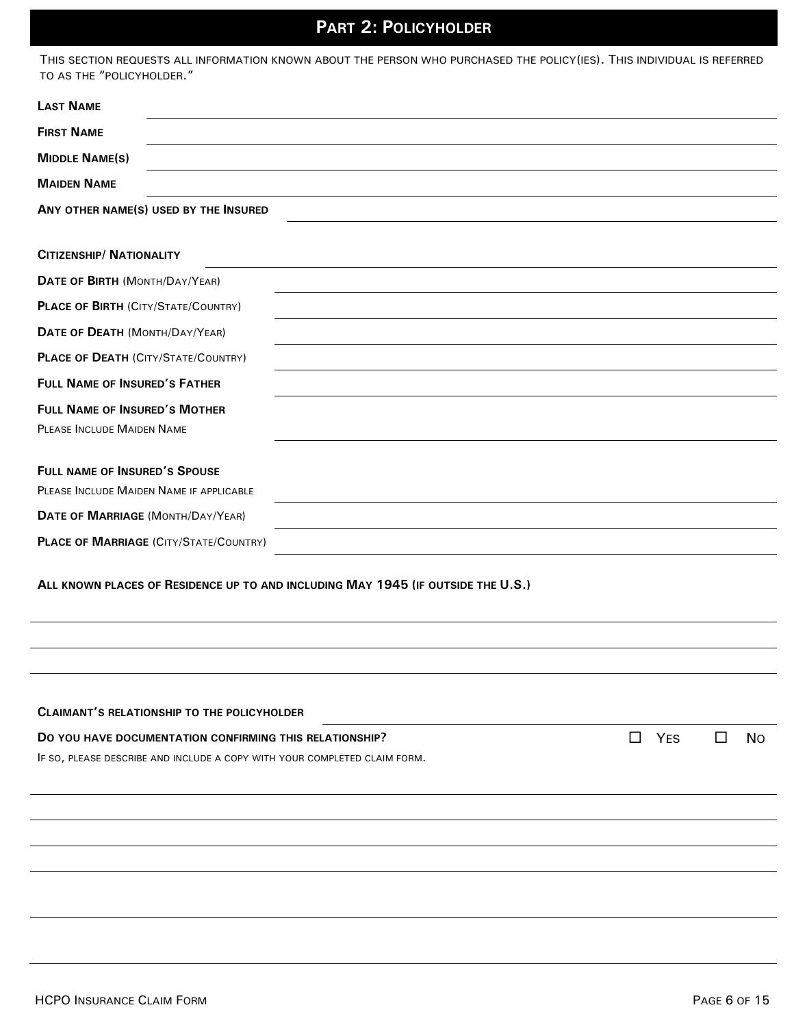# **PART 2: POLICYHOLDER**

THIS SECTION REQUESTS ALL INFORMATION KNOWN ABOUT THE PERSON WHO PURCHASED THE POLICY(IES). THIS INDIVIDUAL IS REFERRED

| TO AS THE "POLICYHOLDER."                                                                         |  |  |  |  |  |
|---------------------------------------------------------------------------------------------------|--|--|--|--|--|
| <b>LAST NAME</b>                                                                                  |  |  |  |  |  |
| <b>FIRST NAME</b>                                                                                 |  |  |  |  |  |
| <b>MIDDLE NAME(S)</b>                                                                             |  |  |  |  |  |
| <b>MAIDEN NAME</b>                                                                                |  |  |  |  |  |
| ANY OTHER NAME(S) USED BY THE INSURED                                                             |  |  |  |  |  |
| <b>CITIZENSHIP/ NATIONALITY</b>                                                                   |  |  |  |  |  |
| DATE OF BIRTH (MONTH/DAY/YEAR)                                                                    |  |  |  |  |  |
| <b>PLACE OF BIRTH (CITY/STATE/COUNTRY)</b>                                                        |  |  |  |  |  |
| DATE OF DEATH (MONTH/DAY/YEAR)                                                                    |  |  |  |  |  |
| <b>PLACE OF DEATH (CITY/STATE/COUNTRY)</b>                                                        |  |  |  |  |  |
| <b>FULL NAME OF INSURED'S FATHER</b>                                                              |  |  |  |  |  |
| <b>FULL NAME OF INSURED'S MOTHER</b><br>PLEASE INCLUDE MAIDEN NAME                                |  |  |  |  |  |
| <b>FULL NAME OF INSURED'S SPOUSE</b><br>PLEASE INCLUDE MAIDEN NAME IF APPLICABLE                  |  |  |  |  |  |
| DATE OF MARRIAGE (MONTH/DAY/YEAR)                                                                 |  |  |  |  |  |
| <b>PLACE OF MARRIAGE (CITY/STATE/COUNTRY)</b>                                                     |  |  |  |  |  |
| ALL KNOWN PLACES OF RESIDENCE UP TO AND INCLUDING MAY 1945 (IF OUTSIDE THE U.S.)                  |  |  |  |  |  |
|                                                                                                   |  |  |  |  |  |
| <b>CLAIMANT'S RELATIONSHIP TO THE POLICYHOLDER</b>                                                |  |  |  |  |  |
| DO YOU HAVE DOCUMENTATION CONFIRMING THIS RELATIONSHIP?<br><b>YES</b><br>□<br><b>No</b><br>$\Box$ |  |  |  |  |  |
| IF SO, PLEASE DESCRIBE AND INCLUDE A COPY WITH YOUR COMPLETED CLAIM FORM.                         |  |  |  |  |  |
|                                                                                                   |  |  |  |  |  |
|                                                                                                   |  |  |  |  |  |
|                                                                                                   |  |  |  |  |  |
|                                                                                                   |  |  |  |  |  |
|                                                                                                   |  |  |  |  |  |
|                                                                                                   |  |  |  |  |  |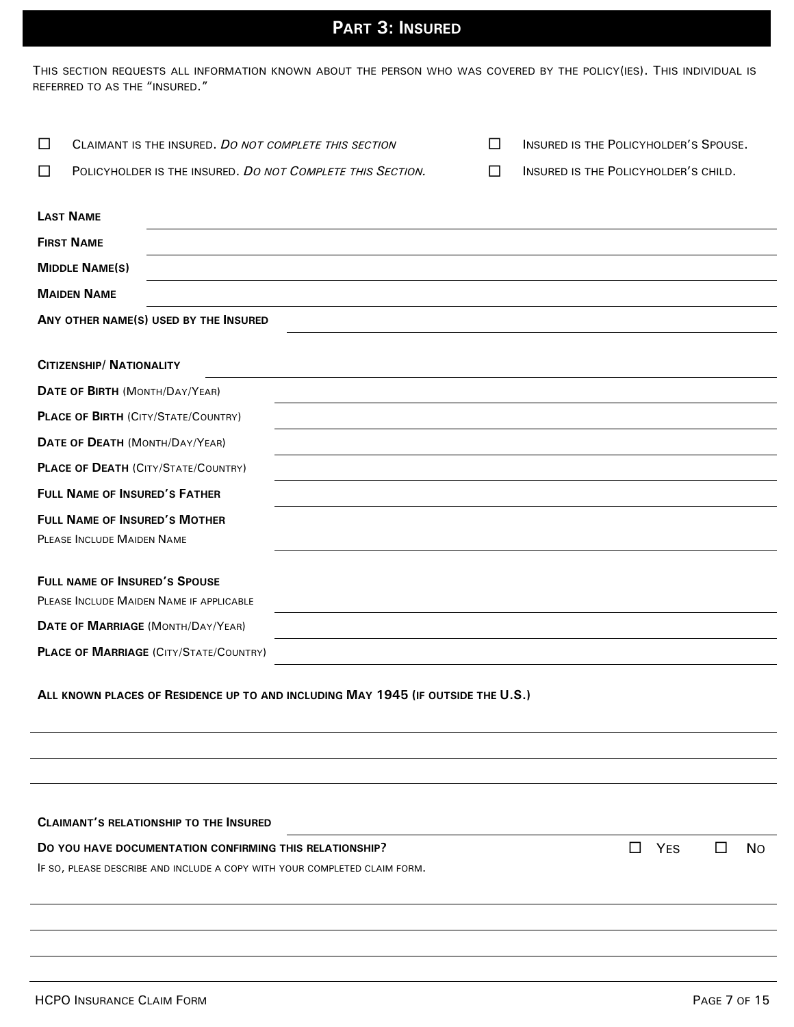# **PART 3: INSURED**

THIS SECTION REQUESTS ALL INFORMATION KNOWN ABOUT THE PERSON WHO WAS COVERED BY THE POLICY(IES). THIS INDIVIDUAL IS REFERRED TO AS THE "INSURED."

| □      | CLAIMANT IS THE INSURED. DO NOT COMPLETE THIS SECTION                            |                                                            |  | INSURED IS THE POLICYHOLDER'S SPOUSE.  |
|--------|----------------------------------------------------------------------------------|------------------------------------------------------------|--|----------------------------------------|
| $\Box$ |                                                                                  | POLICYHOLDER IS THE INSURED. DO NOT COMPLETE THIS SECTION. |  | INSURED IS THE POLICYHOLDER'S CHILD.   |
|        |                                                                                  |                                                            |  |                                        |
|        | <b>LAST NAME</b>                                                                 |                                                            |  |                                        |
|        | <b>FIRST NAME</b>                                                                |                                                            |  |                                        |
|        | <b>MIDDLE NAME(S)</b>                                                            |                                                            |  |                                        |
|        | <b>MAIDEN NAME</b>                                                               |                                                            |  |                                        |
|        | ANY OTHER NAME(S) USED BY THE INSURED                                            |                                                            |  |                                        |
|        | <b>CITIZENSHIP/ NATIONALITY</b>                                                  |                                                            |  |                                        |
|        | DATE OF BIRTH (MONTH/DAY/YEAR)                                                   |                                                            |  |                                        |
|        | <b>PLACE OF BIRTH (CITY/STATE/COUNTRY)</b>                                       |                                                            |  |                                        |
|        | DATE OF DEATH (MONTH/DAY/YEAR)                                                   |                                                            |  |                                        |
|        | <b>PLACE OF DEATH (CITY/STATE/COUNTRY)</b>                                       |                                                            |  |                                        |
|        | <b>FULL NAME OF INSURED'S FATHER</b>                                             |                                                            |  |                                        |
|        | <b>FULL NAME OF INSURED'S MOTHER</b>                                             |                                                            |  |                                        |
|        | PLEASE INCLUDE MAIDEN NAME                                                       |                                                            |  |                                        |
|        |                                                                                  |                                                            |  |                                        |
|        | <b>FULL NAME OF INSURED'S SPOUSE</b>                                             |                                                            |  |                                        |
|        | PLEASE INCLUDE MAIDEN NAME IF APPLICABLE                                         |                                                            |  |                                        |
|        | DATE OF MARRIAGE (MONTH/DAY/YEAR)                                                |                                                            |  |                                        |
|        | <b>PLACE OF MARRIAGE (CITY/STATE/COUNTRY)</b>                                    |                                                            |  |                                        |
|        | ALL KNOWN PLACES OF RESIDENCE UP TO AND INCLUDING MAY 1945 (IF OUTSIDE THE U.S.) |                                                            |  |                                        |
|        |                                                                                  |                                                            |  |                                        |
|        |                                                                                  |                                                            |  |                                        |
|        |                                                                                  |                                                            |  |                                        |
|        | <b>CLAIMANT'S RELATIONSHIP TO THE INSURED</b>                                    |                                                            |  |                                        |
|        | DO YOU HAVE DOCUMENTATION CONFIRMING THIS RELATIONSHIP?                          |                                                            |  | <b>YES</b><br>$\Box$<br><b>No</b><br>Ш |
|        | IF SO, PLEASE DESCRIBE AND INCLUDE A COPY WITH YOUR COMPLETED CLAIM FORM.        |                                                            |  |                                        |
|        |                                                                                  |                                                            |  |                                        |
|        |                                                                                  |                                                            |  |                                        |
|        |                                                                                  |                                                            |  |                                        |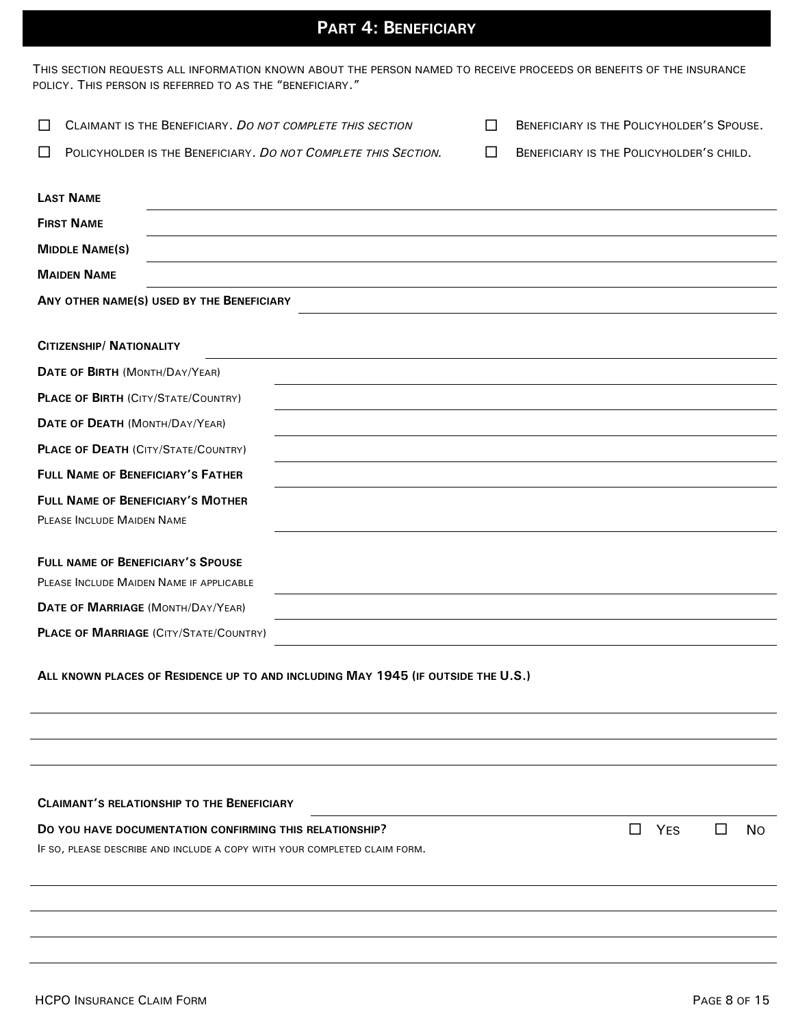# **PART 4: BENEFICIARY**

| THIS SECTION REQUESTS ALL INFORMATION KNOWN ABOUT THE PERSON NAMED TO RECEIVE PROCEEDS OR BENEFITS OF THE INSURANCE |
|---------------------------------------------------------------------------------------------------------------------|
| POLICY. THIS PERSON IS REFERRED TO AS THE "BENEFICIARY."                                                            |

| □ | CLAIMANT IS THE BENEFICIARY. DO NOT COMPLETE THIS SECTION                        | П | BENEFICIARY IS THE POLICYHOLDER'S SPOUSE. |
|---|----------------------------------------------------------------------------------|---|-------------------------------------------|
| П | POLICYHOLDER IS THE BENEFICIARY. DO NOT COMPLETE THIS SECTION.                   | П | BENEFICIARY IS THE POLICYHOLDER'S CHILD.  |
|   |                                                                                  |   |                                           |
|   | <b>LAST NAME</b>                                                                 |   |                                           |
|   | <b>FIRST NAME</b>                                                                |   |                                           |
|   | <b>MIDDLE NAME(S)</b>                                                            |   |                                           |
|   | <b>MAIDEN NAME</b>                                                               |   |                                           |
|   | ANY OTHER NAME(S) USED BY THE BENEFICIARY                                        |   |                                           |
|   |                                                                                  |   |                                           |
|   | <b>CITIZENSHIP/ NATIONALITY</b>                                                  |   |                                           |
|   | DATE OF BIRTH (MONTH/DAY/YEAR)                                                   |   |                                           |
|   | <b>PLACE OF BIRTH (CITY/STATE/COUNTRY)</b>                                       |   |                                           |
|   | DATE OF DEATH (MONTH/DAY/YEAR)                                                   |   |                                           |
|   | <b>PLACE OF DEATH (CITY/STATE/COUNTRY)</b>                                       |   |                                           |
|   | <b>FULL NAME OF BENEFICIARY'S FATHER</b>                                         |   |                                           |
|   | <b>FULL NAME OF BENEFICIARY'S MOTHER</b>                                         |   |                                           |
|   | PLEASE INCLUDE MAIDEN NAME                                                       |   |                                           |
|   | FULL NAME OF BENEFICIARY'S SPOUSE                                                |   |                                           |
|   | PLEASE INCLUDE MAIDEN NAME IF APPLICABLE                                         |   |                                           |
|   | DATE OF MARRIAGE (MONTH/DAY/YEAR)                                                |   |                                           |
|   | <b>PLACE OF MARRIAGE (CITY/STATE/COUNTRY)</b>                                    |   |                                           |
|   | ALL KNOWN PLACES OF RESIDENCE UP TO AND INCLUDING MAY 1945 (IF OUTSIDE THE U.S.) |   |                                           |

| <b>CLAIMANT'S RELATIONSHIP TO THE BENEFICIARY</b>                         |         |            |     |
|---------------------------------------------------------------------------|---------|------------|-----|
| DO YOU HAVE DOCUMENTATION CONFIRMING THIS RELATIONSHIP?                   | $\perp$ | <b>YFS</b> | No. |
| IF SO, PLEASE DESCRIBE AND INCLUDE A COPY WITH YOUR COMPLETED CLAIM FORM. |         |            |     |
|                                                                           |         |            |     |
|                                                                           |         |            |     |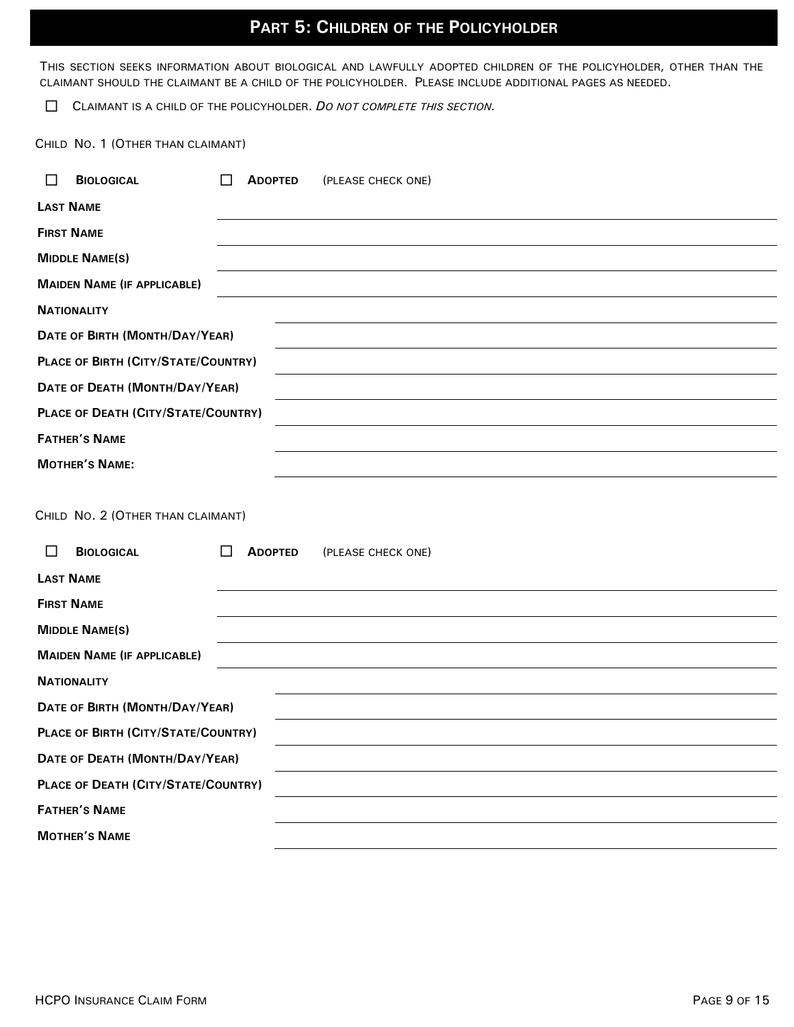# **PART 5: CHILDREN OF THE POLICYHOLDER**

THIS SECTION SEEKS INFORMATION ABOUT BIOLOGICAL AND LAWFULLY ADOPTED CHILDREN OF THE POLICYHOLDER, OTHER THAN THE CLAIMANT SHOULD THE CLAIMANT BE A CHILD OF THE POLICYHOLDER. PLEASE INCLUDE ADDITIONAL PAGES AS NEEDED.

CLAIMANT IS A CHILD OF THE POLICYHOLDER. *DO NOT COMPLETE THIS SECTION.*

CHILD NO. 1 (OTHER THAN CLAIMANT)

| <b>BIOLOGICAL</b><br>$\mathsf{L}$   | <b>ADOPTED</b><br>(PLEASE CHECK ONE) |  |
|-------------------------------------|--------------------------------------|--|
| <b>LAST NAME</b>                    |                                      |  |
| <b>FIRST NAME</b>                   |                                      |  |
| <b>MIDDLE NAME(S)</b>               |                                      |  |
| <b>MAIDEN NAME (IF APPLICABLE)</b>  |                                      |  |
| <b>NATIONALITY</b>                  |                                      |  |
| DATE OF BIRTH (MONTH/DAY/YEAR)      |                                      |  |
| PLACE OF BIRTH (CITY/STATE/COUNTRY) |                                      |  |
| DATE OF DEATH (MONTH/DAY/YEAR)      |                                      |  |
| PLACE OF DEATH (CITY/STATE/COUNTRY) |                                      |  |
| <b>FATHER'S NAME</b>                |                                      |  |
| <b>MOTHER'S NAME:</b>               |                                      |  |
|                                     |                                      |  |
|                                     |                                      |  |

CHILD NO. 2 (OTHER THAN CLAIMANT)

| <b>BIOLOGICAL</b>                   |  | <b>ADOPTED</b> | (PLEASE CHECK ONE) |  |
|-------------------------------------|--|----------------|--------------------|--|
| <b>LAST NAME</b>                    |  |                |                    |  |
| <b>FIRST NAME</b>                   |  |                |                    |  |
| <b>MIDDLE NAME(S)</b>               |  |                |                    |  |
| <b>MAIDEN NAME (IF APPLICABLE)</b>  |  |                |                    |  |
| <b>NATIONALITY</b>                  |  |                |                    |  |
| DATE OF BIRTH (MONTH/DAY/YEAR)      |  |                |                    |  |
| PLACE OF BIRTH (CITY/STATE/COUNTRY) |  |                |                    |  |
| DATE OF DEATH (MONTH/DAY/YEAR)      |  |                |                    |  |
| PLACE OF DEATH (CITY/STATE/COUNTRY) |  |                |                    |  |
| <b>FATHER'S NAME</b>                |  |                |                    |  |
| <b>MOTHER'S NAME</b>                |  |                |                    |  |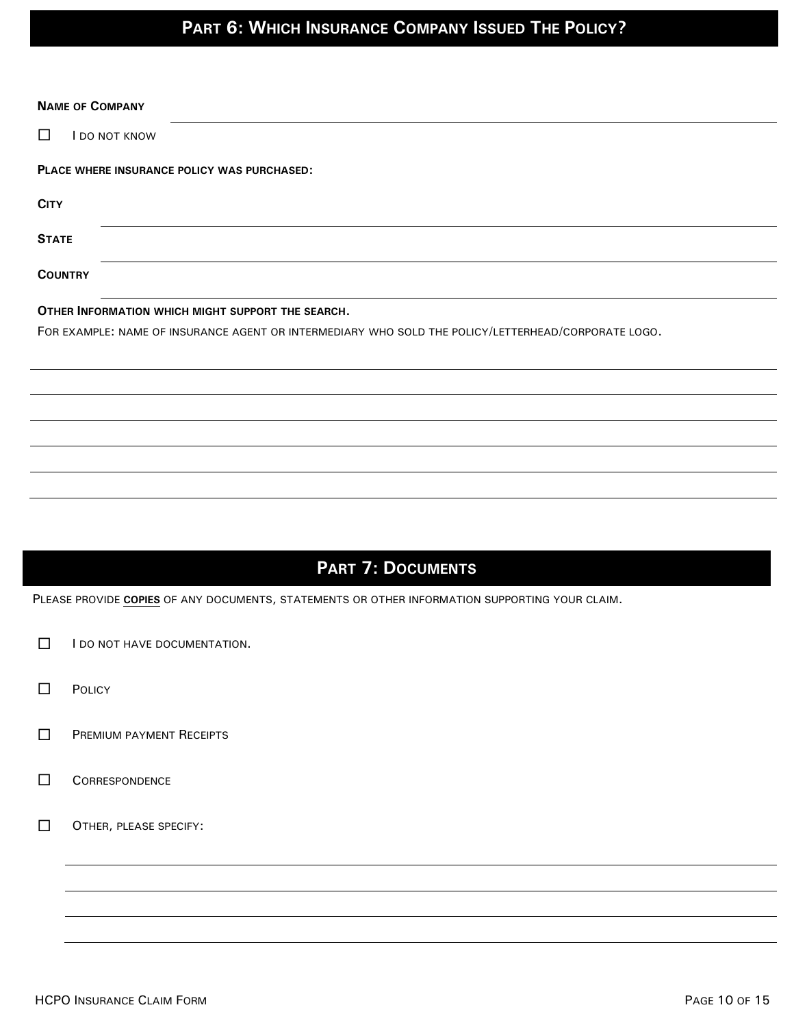# **PART 6: WHICH INSURANCE COMPANY ISSUED THE POLICY?**

| <b>NAME OF COMPANY</b>                                                                              |  |  |
|-----------------------------------------------------------------------------------------------------|--|--|
| □<br>I DO NOT KNOW                                                                                  |  |  |
| PLACE WHERE INSURANCE POLICY WAS PURCHASED:                                                         |  |  |
| <b>CITY</b>                                                                                         |  |  |
| <b>STATE</b>                                                                                        |  |  |
| <b>COUNTRY</b>                                                                                      |  |  |
| OTHER INFORMATION WHICH MIGHT SUPPORT THE SEARCH.                                                   |  |  |
| FOR EXAMPLE: NAME OF INSURANCE AGENT OR INTERMEDIARY WHO SOLD THE POLICY/LETTERHEAD/CORPORATE LOGO. |  |  |
|                                                                                                     |  |  |
|                                                                                                     |  |  |
|                                                                                                     |  |  |
|                                                                                                     |  |  |
|                                                                                                     |  |  |
|                                                                                                     |  |  |
|                                                                                                     |  |  |
| <b>PART 7: DOCUMENTS</b>                                                                            |  |  |
| PLEASE PROVIDE COPIES OF ANY DOCUMENTS, STATEMENTS OR OTHER INFORMATION SUPPORTING YOUR CLAIM.      |  |  |

- $\Box$  I do not have documentation.
- **D** POLICY
- **PREMIUM PAYMENT RECEIPTS**
- **CORRESPONDENCE**
- OTHER, PLEASE SPECIFY: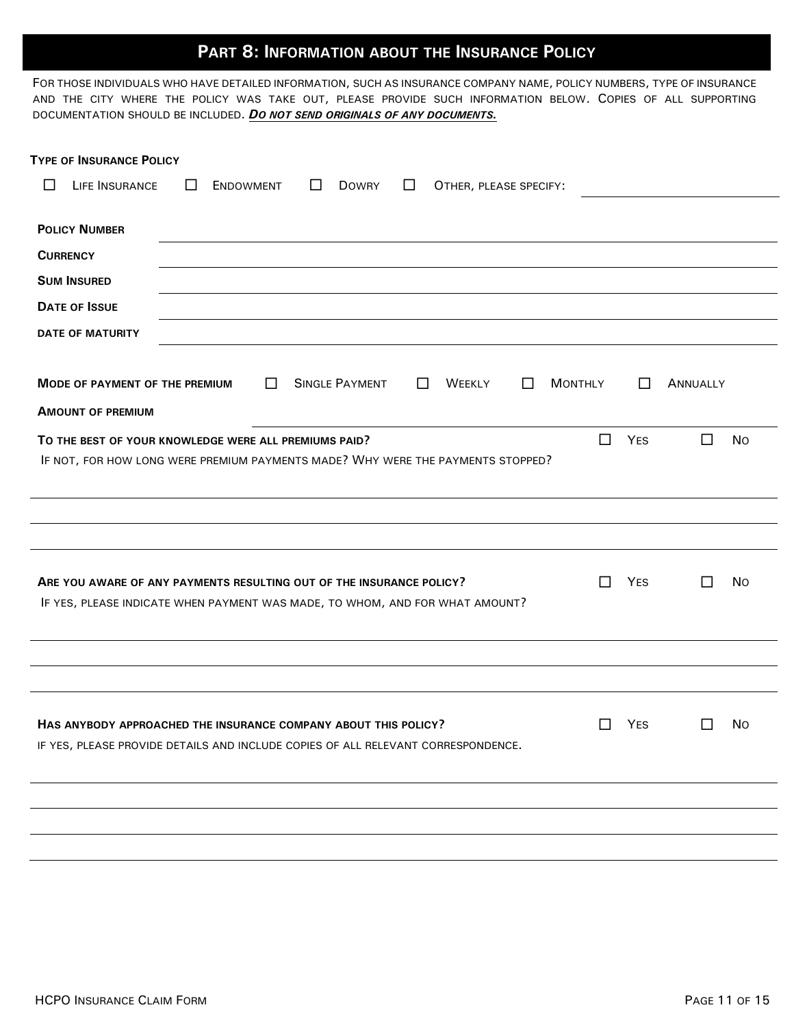## **PART 8: INFORMATION ABOUT THE INSURANCE POLICY**

FOR THOSE INDIVIDUALS WHO HAVE DETAILED INFORMATION, SUCH AS INSURANCE COMPANY NAME, POLICY NUMBERS, TYPE OF INSURANCE AND THE CITY WHERE THE POLICY WAS TAKE OUT, PLEASE PROVIDE SUCH INFORMATION BELOW. COPIES OF ALL SUPPORTING DOCUMENTATION SHOULD BE INCLUDED. *DO NOT SEND ORIGINALS OF ANY DOCUMENTS.*

| <b>TYPE OF INSURANCE POLICY</b>                                                                                                                           |              |                     |
|-----------------------------------------------------------------------------------------------------------------------------------------------------------|--------------|---------------------|
| LIFE INSURANCE<br>П<br><b>ENDOWMENT</b><br><b>DOWRY</b><br>П<br>OTHER, PLEASE SPECIFY:<br>$\Box$<br>$\mathbf{I}$                                          |              |                     |
| <b>POLICY NUMBER</b>                                                                                                                                      |              |                     |
| <b>CURRENCY</b>                                                                                                                                           |              |                     |
| <b>SUM INSURED</b>                                                                                                                                        |              |                     |
| <b>DATE OF ISSUE</b>                                                                                                                                      |              |                     |
| <b>DATE OF MATURITY</b>                                                                                                                                   |              |                     |
| <b>SINGLE PAYMENT</b><br><b>MODE OF PAYMENT OF THE PREMIUM</b><br>П<br>$\Box$<br>WEEKLY<br><b>MONTHLY</b><br>$\perp$                                      | $\mathsf{L}$ | ANNUALLY            |
| <b>AMOUNT OF PREMIUM</b>                                                                                                                                  |              |                     |
| $\Box$<br>TO THE BEST OF YOUR KNOWLEDGE WERE ALL PREMIUMS PAID?                                                                                           | <b>YES</b>   | $\Box$<br><b>No</b> |
| IF NOT, FOR HOW LONG WERE PREMIUM PAYMENTS MADE? WHY WERE THE PAYMENTS STOPPED?                                                                           |              |                     |
|                                                                                                                                                           |              |                     |
|                                                                                                                                                           |              |                     |
| п<br>ARE YOU AWARE OF ANY PAYMENTS RESULTING OUT OF THE INSURANCE POLICY?<br>IF YES, PLEASE INDICATE WHEN PAYMENT WAS MADE, TO WHOM, AND FOR WHAT AMOUNT? | <b>YES</b>   | <b>No</b><br>ΙI     |
|                                                                                                                                                           |              |                     |
|                                                                                                                                                           |              |                     |
| HAS ANYBODY APPROACHED THE INSURANCE COMPANY ABOUT THIS POLICY?<br>П<br>IF YES, PLEASE PROVIDE DETAILS AND INCLUDE COPIES OF ALL RELEVANT CORRESPONDENCE. | <b>YES</b>   | No<br>ΙI            |
|                                                                                                                                                           |              |                     |
|                                                                                                                                                           |              |                     |
|                                                                                                                                                           |              |                     |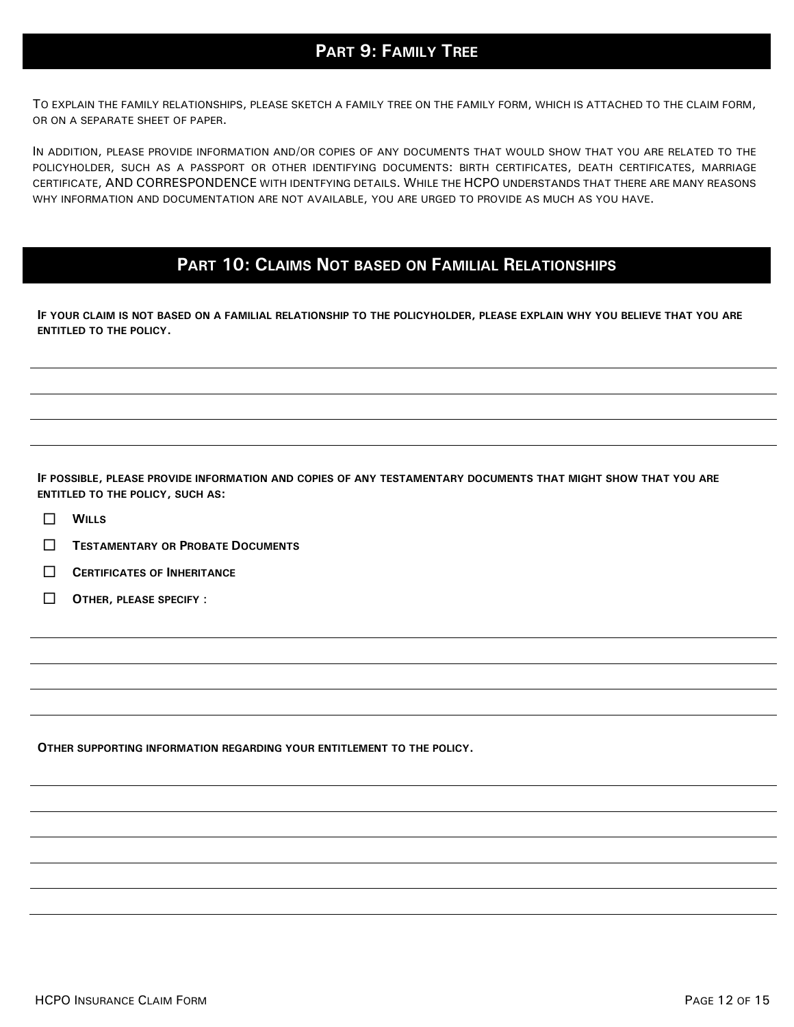## **PART 9: FAMILY TREE**

 TO EXPLAIN THE FAMILY RELATIONSHIPS, PLEASE SKETCH A FAMILY TREE ON THE FAMILY FORM, WHICH IS ATTACHED TO THE CLAIM FORM, OR ON A SEPARATE SHEET OF PAPER.

IN ADDITION, PLEASE PROVIDE INFORMATION AND/OR COPIES OF ANY DOCUMENTS THAT WOULD SHOW THAT YOU ARE RELATED TO THE POLICYHOLDER, SUCH AS A PASSPORT OR OTHER IDENTIFYING DOCUMENTS: BIRTH CERTIFICATES, DEATH CERTIFICATES, MARRIAGE CERTIFICATE, AND CORRESPONDENCE WITH IDENTFYING DETAILS. WHILE THE HCPO UNDERSTANDS THAT THERE ARE MANY REASONS WHY INFORMATION AND DOCUMENTATION ARE NOT AVAILABLE, YOU ARE URGED TO PROVIDE AS MUCH AS YOU HAVE.

## **PART 10: CLAIMS NOT BASED ON FAMILIAL RELATIONSHIPS**

**IF YOUR CLAIM IS NOT BASED ON A FAMILIAL RELATIONSHIP TO THE POLICYHOLDER, PLEASE EXPLAIN WHY YOU BELIEVE THAT YOU ARE ENTITLED TO THE POLICY.**

**IF POSSIBLE, PLEASE PROVIDE INFORMATION AND COPIES OF ANY TESTAMENTARY DOCUMENTS THAT MIGHT SHOW THAT YOU ARE ENTITLED TO THE POLICY, SUCH AS:**

- $\Box$  WILLS
- **TESTAMENTARY OR PROBATE DOCUMENTS**
- **CERTIFICATES OF INHERITANCE**
- **OTHER, PLEASE SPECIFY** :

**OTHER SUPPORTING INFORMATION REGARDING YOUR ENTITLEMENT TO THE POLICY.**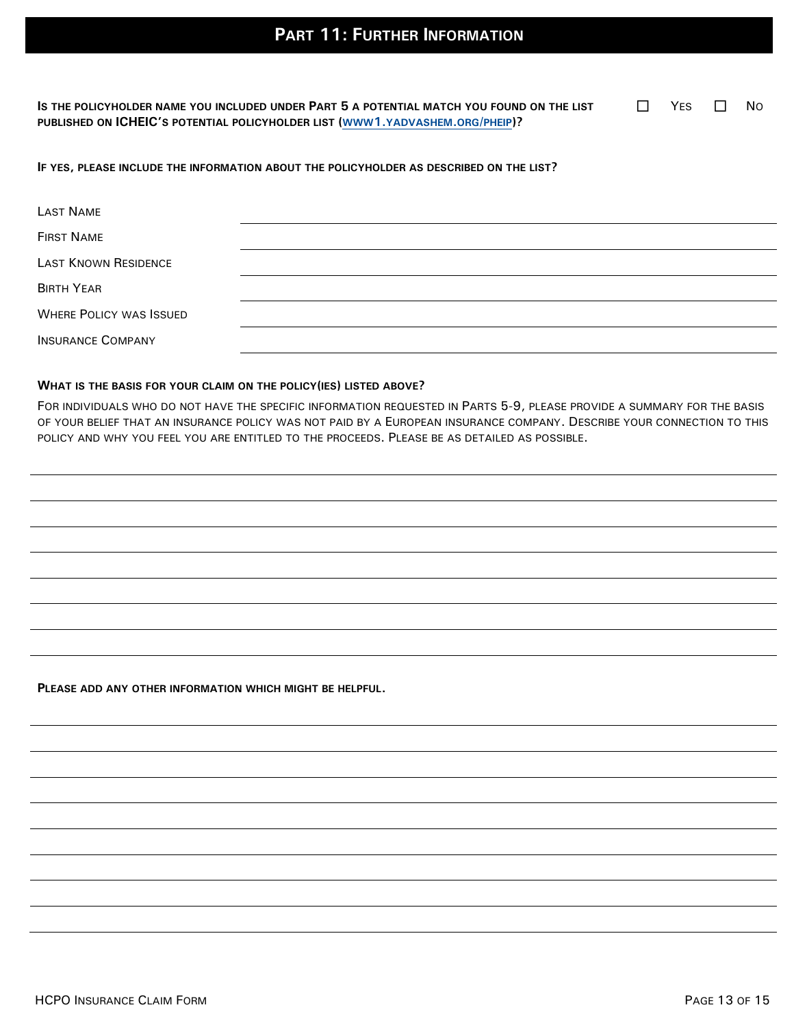**IS THE POLICYHOLDER NAME YOU INCLUDED UNDER PART 5 A POTENTIAL MATCH YOU FOUND ON THE LIST PUBLISHED ON ICHEIC'S POTENTIAL POLICYHOLDER LIST (WWW1.[YADVASHEM](http://www1.yadvashem.org/pheip/).ORG/PHEIP)?**

 $\Box$  YES  $\Box$  No

### **IF YES, PLEASE INCLUDE THE INFORMATION ABOUT THE POLICYHOLDER AS DESCRIBED ON THE LIST?**

| LAST NAME                      |  |
|--------------------------------|--|
| <b>FIRST NAME</b>              |  |
| <b>LAST KNOWN RESIDENCE</b>    |  |
| <b>BIRTH YEAR</b>              |  |
| <b>WHERE POLICY WAS ISSUED</b> |  |
| <b>INSURANCE COMPANY</b>       |  |

#### **WHAT IS THE BASIS FOR YOUR CLAIM ON THE POLICY(IES) LISTED ABOVE?**

FOR INDIVIDUALS WHO DO NOT HAVE THE SPECIFIC INFORMATION REQUESTED IN PARTS 5-9, PLEASE PROVIDE A SUMMARY FOR THE BASIS OF YOUR BELIEF THAT AN INSURANCE POLICY WAS NOT PAID BY A EUROPEAN INSURANCE COMPANY. DESCRIBE YOUR CONNECTION TO THIS POLICY AND WHY YOU FEEL YOU ARE ENTITLED TO THE PROCEEDS. PLEASE BE AS DETAILED AS POSSIBLE.

**PLEASE ADD ANY OTHER INFORMATION WHICH MIGHT BE HELPFUL.**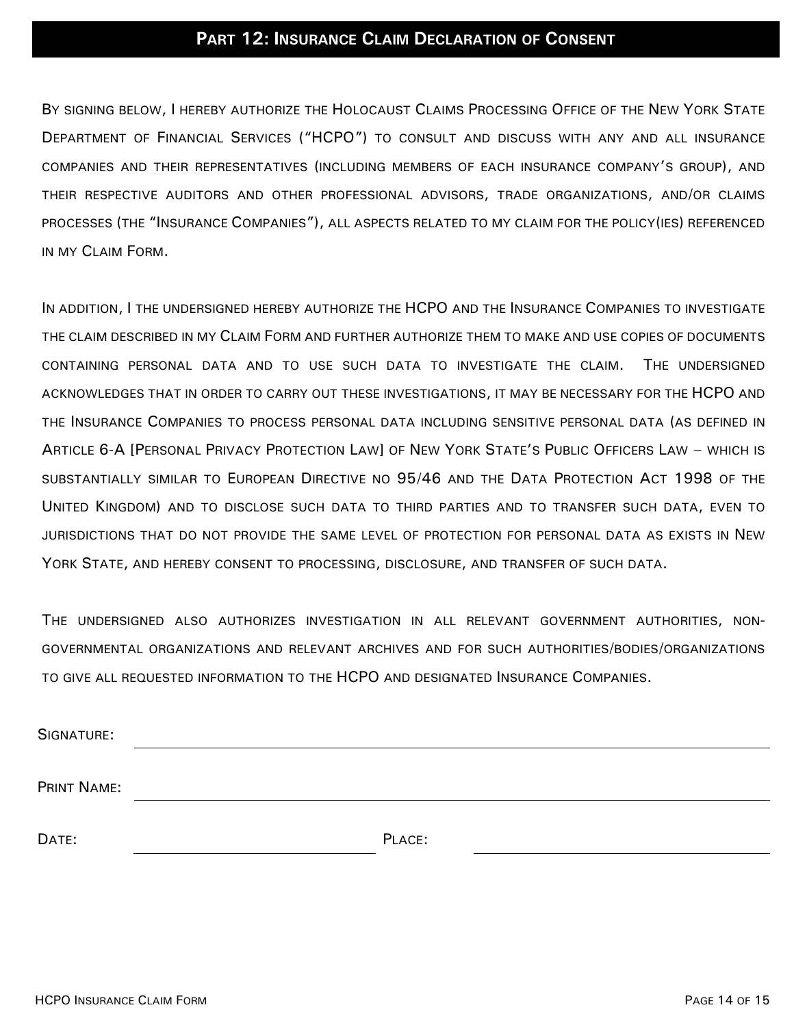## **PART 12: INSURANCE CLAIM DECLARATION OF CONSENT**

BY SIGNING BELOW, I HEREBY AUTHORIZE THE HOLOCAUST CLAIMS PROCESSING OFFICE OF THE NEW YORK STATE DEPARTMENT OF FINANCIAL SERVICES ("HCPO") TO CONSULT AND DISCUSS WITH ANY AND ALL INSURANCE COMPANIES AND THEIR REPRESENTATIVES (INCLUDING MEMBERS OF EACH INSURANCE COMPANY'S GROUP), AND THEIR RESPECTIVE AUDITORS AND OTHER PROFESSIONAL ADVISORS, TRADE ORGANIZATIONS, AND/OR CLAIMS PROCESSES (THE "INSURANCE COMPANIES"), ALL ASPECTS RELATED TO MY CLAIM FOR THE POLICY(IES) REFERENCED IN MY CLAIM FORM.

IN ADDITION, I THE UNDERSIGNED HEREBY AUTHORIZE THE HCPO AND THE INSURANCE COMPANIES TO INVESTIGATE THE CLAIM DESCRIBED IN MY CLAIM FORM AND FURTHER AUTHORIZE THEM TO MAKE AND USE COPIES OF DOCUMENTS CONTAINING PERSONAL DATA AND TO USE SUCH DATA TO INVESTIGATE THE CLAIM. THE UNDERSIGNED ACKNOWLEDGES THAT IN ORDER TO CARRY OUT THESE INVESTIGATIONS, IT MAY BE NECESSARY FOR THE HCPO AND THE INSURANCE COMPANIES TO PROCESS PERSONAL DATA INCLUDING SENSITIVE PERSONAL DATA (AS DEFINED IN ARTICLE 6-A [PERSONAL PRIVACY PROTECTION LAW] OF NEW YORK STATE'S PUBLIC OFFICERS LAW – WHICH IS SUBSTANTIALLY SIMILAR TO EUROPEAN DIRECTIVE NO 95/46 AND THE DATA PROTECTION ACT 1998 OF THE UNITED KINGDOM) AND TO DISCLOSE SUCH DATA TO THIRD PARTIES AND TO TRANSFER SUCH DATA, EVEN TO JURISDICTIONS THAT DO NOT PROVIDE THE SAME LEVEL OF PROTECTION FOR PERSONAL DATA AS EXISTS IN NEW YORK STATE, AND HEREBY CONSENT TO PROCESSING, DISCLOSURE, AND TRANSFER OF SUCH DATA.

THE UNDERSIGNED ALSO AUTHORIZES INVESTIGATION IN ALL RELEVANT GOVERNMENT AUTHORITIES, NON-GOVERNMENTAL ORGANIZATIONS AND RELEVANT ARCHIVES AND FOR SUCH AUTHORITIES/BODIES/ORGANIZATIONS TO GIVE ALL REQUESTED INFORMATION TO THE HCPO AND DESIGNATED INSURANCE COMPANIES.

| SIGNATURE:  |        |
|-------------|--------|
| PRINT NAME: |        |
| DATE:       | PLACE: |